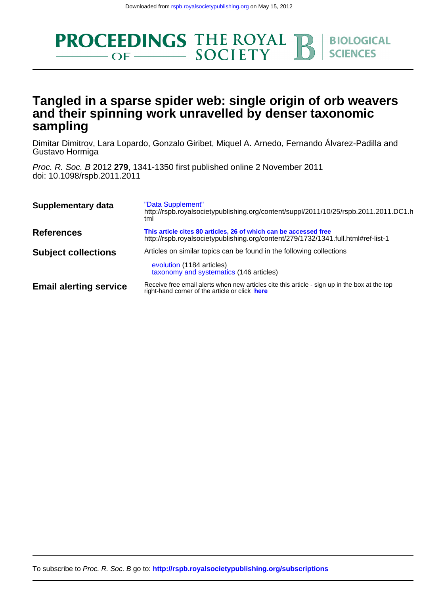

## **sampling and their spinning work unravelled by denser taxonomic Tangled in a sparse spider web: single origin of orb weavers**

Gustavo Hormiga Dimitar Dimitrov, Lara Lopardo, Gonzalo Giribet, Miquel A. Arnedo, Fernando Álvarez-Padilla and

doi: 10.1098/rspb.2011.2011 Proc. R. Soc. B 2012 **279**, 1341-1350 first published online 2 November 2011

| <b>Supplementary data</b>     | "Data Supplement"<br>http://rspb.royalsocietypublishing.org/content/suppl/2011/10/25/rspb.2011.2011.DC1.h<br>tml                                      |
|-------------------------------|-------------------------------------------------------------------------------------------------------------------------------------------------------|
| <b>References</b>             | This article cites 80 articles, 26 of which can be accessed free<br>http://rspb.royalsocietypublishing.org/content/279/1732/1341.full.html#ref-list-1 |
| <b>Subject collections</b>    | Articles on similar topics can be found in the following collections<br>evolution (1184 articles)<br>taxonomy and systematics (146 articles)          |
| <b>Email alerting service</b> | Receive free email alerts when new articles cite this article - sign up in the box at the top<br>right-hand corner of the article or click here       |

To subscribe to Proc. R. Soc. B go to: **<http://rspb.royalsocietypublishing.org/subscriptions>**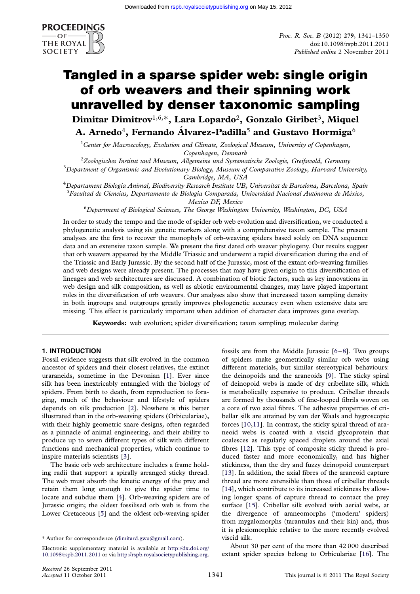

# Tangled in a sparse spider web: single origin of orb weavers and their spinning work unravelled by denser taxonomic sampling

Dimitar Dimitrov<sup>1,6,\*</sup>, Lara Lopardo<sup>2</sup>, Gonzalo Giribet<sup>3</sup>, Miquel A. Arnedo<sup>4</sup>, Fernando Álvarez-Padilla<sup>5</sup> and Gustavo Hormiga<sup>6</sup>

<sup>1</sup>Center for Macroecology, Evolution and Climate, Zoological Museum, University of Copenhagen,

Copenhagen, Denmark<br><sup>2</sup>Zoologisches Institut und Museum, Allgemeine und Systems

 $\frac{2}{2}Z$ oologisches Institut und Museum, Allgemeine und Systematische Zoologie, Greifswald, Germany<br>3 Depertment of Organismie and Evolutionam Pielogy, Museum of Cemperatine Zoology, Haracard Univ  $3$ Department of Organismic and Evolutionary Biology, Museum of Comparative Zoology, Harvard University,

Cambridge, MA, USA<br><sup>4</sup>Departament Biologia Animal, Biodiversity Research Institute UB, Universitat de Barcelona, Barcelona, Spain <sup>5</sup> Facultad de Ciencias, Departamento de Biología Comparada, Universidad Nacional Autónoma de México,

Mexico DF, Mexico<br><sup>6</sup>Department of Biological Sciences, The George Washington University, Washington, DC, USA

In order to study the tempo and the mode of spider orb web evolution and diversification, we conducted a phylogenetic analysis using six genetic markers along with a comprehensive taxon sample. The present analyses are the first to recover the monophyly of orb-weaving spiders based solely on DNA sequence data and an extensive taxon sample. We present the first dated orb weaver phylogeny. Our results suggest that orb weavers appeared by the Middle Triassic and underwent a rapid diversification during the end of the Triassic and Early Jurassic. By the second half of the Jurassic, most of the extant orb-weaving families and web designs were already present. The processes that may have given origin to this diversification of lineages and web architectures are discussed. A combination of biotic factors, such as key innovations in web design and silk composition, as well as abiotic environmental changes, may have played important roles in the diversification of orb weavers. Our analyses also show that increased taxon sampling density in both ingroups and outgroups greatly improves phylogenetic accuracy even when extensive data are missing. This effect is particularly important when addition of character data improves gene overlap.

Keywords: web evolution; spider diversification; taxon sampling; molecular dating

## 1. INTRODUCTION

Fossil evidence suggests that silk evolved in the common ancestor of spiders and their closest relatives, the extinct uraraneids, sometime in the Devonian [\[1](#page-8-0)]. Ever since silk has been inextricably entangled with the biology of spiders. From birth to death, from reproduction to foraging, much of the behaviour and lifestyle of spiders depends on silk production [[2](#page-8-0)]. Nowhere is this better illustrated than in the orb-weaving spiders (Orbiculariae), with their highly geometric snare designs, often regarded as a pinnacle of animal engineering, and their ability to produce up to seven different types of silk with different functions and mechanical properties, which continue to inspire materials scientists [[3](#page-8-0)].

The basic orb web architecture includes a frame holding radii that support a spirally arranged sticky thread. The web must absorb the kinetic energy of the prey and retain them long enough to give the spider time to locate and subdue them [\[4](#page-8-0)]. Orb-weaving spiders are of Jurassic origin; the oldest fossilised orb web is from the Lower Cretaceous [\[5\]](#page-8-0) and the oldest orb-weaving spider fossils are from the Middle Jurassic [[6](#page-8-0)–[8\]](#page-8-0). Two groups of spiders make geometrically similar orb webs using different materials, but similar stereotypical behaviours: the deinopoids and the araneoids [[9](#page-8-0)]. The sticky spiral of deinopoid webs is made of dry cribellate silk, which is metabolically expensive to produce. Cribellar threads are formed by thousands of fine-looped fibrils woven on a core of two axial fibres. The adhesive properties of cribellar silk are attained by van der Waals and hygroscopic forces [\[10,11\]](#page-8-0). In contrast, the sticky spiral thread of araneoid webs is coated with a viscid glycoprotein that coalesces as regularly spaced droplets around the axial fibres [\[12\]](#page-8-0). This type of composite sticky thread is produced faster and more economically, and has higher stickiness, than the dry and fuzzy deinopoid counterpart [\[13\]](#page-8-0). In addition, the axial fibres of the araneoid capture thread are more extensible than those of cribellar threads [\[14\]](#page-8-0), which contribute to its increased stickiness by allowing longer spans of capture thread to contact the prey surface [[15](#page-8-0)]. Cribellar silk evolved with aerial webs, at the divergence of araneomorphs ('modern' spiders) from mygalomorphs (tarantulas and their kin) and, thus it is plesiomorphic relative to the more recently evolved viscid silk.

About 30 per cent of the more than 42 000 described extant spider species belong to Orbiculariae [\[16\]](#page-8-0). The

<sup>\*</sup> Author for correspondence ([dimitard.gwu@gmail.com\)](mailto:dimitard.gwu@gmail.com).

Electronic supplementary material is available at [http://dx.doi.org/](http://dx.doi.org/10.1098/rspb.2011.2011) [10.1098/rspb.2011.2011](http://dx.doi.org/10.1098/rspb.2011.2011) or via <http://rspb.royalsocietypublishing.org>.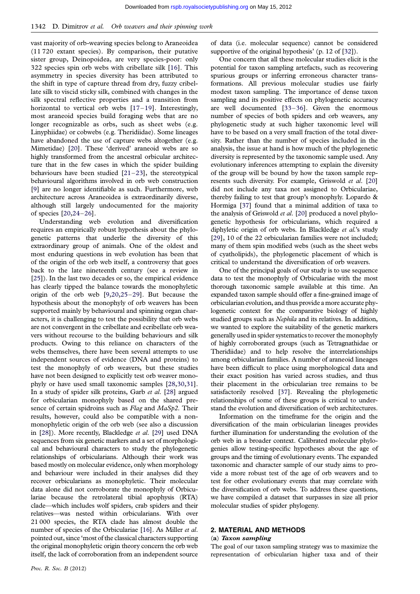vast majority of orb-weaving species belong to Araneoidea (11 720 extant species). By comparison, their putative sister group, Deinopoidea, are very species-poor: only 322 species spin orb webs with cribellate silk [\[16\]](#page-8-0). This asymmetry in species diversity has been attributed to the shift in type of capture thread from dry, fuzzy cribellate silk to viscid sticky silk, combined with changes in the silk spectral reflective properties and a transition from horizontal to vertical orb webs  $[17-19]$  $[17-19]$  $[17-19]$  $[17-19]$ . Interestingly, most araneoid species build foraging webs that are no longer recognizable as orbs, such as sheet webs (e.g. Linyphiidae) or cobwebs (e.g. Theridiidae). Some lineages have abandoned the use of capture webs altogether (e.g. Mimetidae) [[20](#page-8-0)]. These 'derived' araneoid webs are so highly transformed from the ancestral orbicular architecture that in the few cases in which the spider building behaviours have been studied [\[21](#page-8-0)–[23\]](#page-8-0), the stereotypical behavioural algorithms involved in orb web construction [\[9](#page-8-0)] are no longer identifiable as such. Furthermore, web architecture across Araneoidea is extraordinarily diverse, although still largely undocumented for the majority of species [[20](#page-8-0),[24](#page-8-0)–[26\]](#page-8-0).

Understanding web evolution and diversification requires an empirically robust hypothesis about the phylogenetic patterns that underlie the diversity of this extraordinary group of animals. One of the oldest and most enduring questions in web evolution has been that of the origin of the orb web itself, a controversy that goes back to the late nineteenth century (see a review in [\[25\]](#page-8-0)). In the last two decades or so, the empirical evidence has clearly tipped the balance towards the monophyletic origin of the orb web [\[9](#page-8-0),[20](#page-8-0),[25](#page-8-0)–[29](#page-8-0)]. But because the hypothesis about the monophyly of orb weavers has been supported mainly by behavioural and spinning organ characters, it is challenging to test the possibility that orb webs are not convergent in the cribellate and ecribellate orb weavers without recourse to the building behaviours and silk products. Owing to this reliance on characters of the webs themselves, there have been several attempts to use independent sources of evidence (DNA and proteins) to test the monophyly of orb weavers, but these studies have not been designed to explicitly test orb weaver monophyly or have used small taxonomic samples [\[28,30,31\]](#page-8-0). In a study of spider silk proteins, Garb et al. [[28\]](#page-8-0) argued for orbicularian monophyly based on the shared presence of certain spidroins such as *Flag* and *MaSp2*. Their results, however, could also be compatible with a nonmonophyletic origin of the orb web (see also a discussion in [[28](#page-8-0)]). More recently, Blackledge et al. [[29\]](#page-8-0) used DNA sequences from six genetic markers and a set of morphological and behavioural characters to study the phylogenetic relationships of orbicularians. Although their work was based mostly on molecular evidence, only when morphology and behaviour were included in their analyses did they recover orbicularians as monophyletic. Their molecular data alone did not corroborate the monophyly of Orbiculariae because the retrolateral tibial apophysis (RTA) clade—which includes wolf spiders, crab spiders and their relatives—was nested within orbicularians. With over 21 000 species, the RTA clade has almost double the number of species of the Orbiculariae [\[16](#page-8-0)]. As Miller et al. pointed out, since 'most of the classical characters supporting the original monophyletic origin theory concern the orb web itself, the lack of corroboration from an independent source

of data (i.e. molecular sequence) cannot be considered supportive of the original hypothesis' (p. 12 of [\[32](#page-9-0)]).

One concern that all these molecular studies elicit is the potential for taxon sampling artefacts, such as recovering spurious groups or inferring erroneous character transformations. All previous molecular studies use fairly modest taxon sampling. The importance of dense taxon sampling and its positive effects on phylogenetic accuracy are well documented [[33](#page-9-0)–[36](#page-9-0)]. Given the enormous number of species of both spiders and orb weavers, any phylogenetic study at such higher taxonomic level will have to be based on a very small fraction of the total diversity. Rather than the number of species included in the analysis, the issue at hand is how much of the phylogenetic diversity is represented by the taxonomic sample used. Any evolutionary inferences attempting to explain the diversity of the group will be bound by how the taxon sample rep-resents such diversity. For example, Griswold et al. [[20](#page-8-0)] did not include any taxa not assigned to Orbiculariae, thereby failing to test that group's monophyly. Lopardo & Hormiga [\[37](#page-9-0)] found that a minimal addition of taxa to the analysis of Griswold et al. [\[20](#page-8-0)] produced a novel phylogenetic hypothesis for orbicularians, which required a diphyletic origin of orb webs. In Blackledge et al.'s study [\[29](#page-8-0)], 10 of the 22 orbicularian families were not included; many of them spin modified webs (such as the sheet webs of cyatholipids), the phylogenetic placement of which is critical to understand the diversification of orb weavers.

One of the principal goals of our study is to use sequence data to test the monophyly of Orbiculariae with the most thorough taxonomic sample available at this time. An expanded taxon sample should offer a fine-grained image of orbicularian evolution, and thus provide a more accurate phylogenetic context for the comparative biology of highly studied groups such as Nephila and its relatives. In addition, we wanted to explore the suitability of the genetic markers generally used in spider systematics to recover the monophyly of highly corroborated groups (such as Tetragnathidae or Theridiidae) and to help resolve the interrelationships among orbicularian families. A number of araneoid lineages have been difficult to place using morphological data and their exact position has varied across studies, and thus their placement in the orbicularian tree remains to be satisfactorily resolved [[37\]](#page-9-0). Revealing the phylogenetic relationships of some of these groups is critical to understand the evolution and diversification of web architectures.

Information on the timeframe for the origin and the diversification of the main orbicularian lineages provides further illumination for understanding the evolution of the orb web in a broader context. Calibrated molecular phylogenies allow testing-specific hypotheses about the age of groups and the timing of evolutionary events. The expanded taxonomic and character sample of our study aims to provide a more robust test of the age of orb weavers and to test for other evolutionary events that may correlate with the diversification of orb webs. To address these questions, we have compiled a dataset that surpasses in size all prior molecular studies of spider phylogeny.

## 2. MATERIAL AND METHODS

### (a) Taxon sampling

The goal of our taxon sampling strategy was to maximize the representation of orbicularian higher taxa and of their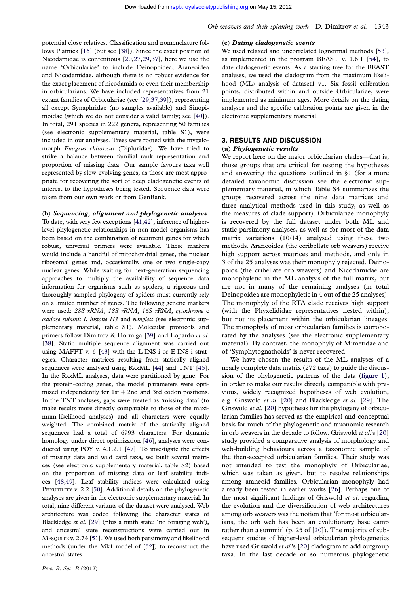potential close relatives. Classification and nomenclature follows Platnick [\[16](#page-8-0)] (but see [[38\]](#page-9-0)). Since the exact position of Nicodamidae is contentious [\[20,27,29](#page-8-0),[37\]](#page-9-0), here we use the name 'Orbiculariae' to include Deinopoidea, Araneoidea and Nicodamidae, although there is no robust evidence for the exact placement of nicodamids or even their membership in orbicularians. We have included representatives from 21 extant families of Orbiculariae (see [\[29](#page-8-0)[,37,39\]](#page-9-0)), representing all except Synaphridae (no samples available) and Sinopimoidae (which we do not consider a valid family; see [\[40](#page-9-0)]). In total, 291 species in 222 genera, representing 50 families (see electronic supplementary material, table S1), were included in our analyses. Trees were rooted with the mygalomorph Euagrus chisosesus (Dipluridae). We have tried to strike a balance between familial rank representation and proportion of missing data. Our sample favours taxa well represented by slow-evolving genes, as those are most appropriate for recovering the sort of deep cladogenetic events of interest to the hypotheses being tested. Sequence data were taken from our own work or from GenBank.

(b) Sequencing, alignment and phylogenetic analyses To date, with very few exceptions [[41,42\]](#page-9-0), inference of higherlevel phylogenetic relationships in non-model organisms has been based on the combination of recurrent genes for which robust, universal primers were available. These markers would include a handful of mitochondrial genes, the nuclear ribosomal genes and, occasionally, one or two single-copy nuclear genes. While waiting for next-generation sequencing approaches to multiply the availability of sequence data information for organisms such as spiders, a rigorous and thoroughly sampled phylogeny of spiders must currently rely on a limited number of genes. The following genetic markers were used: 28S rRNA, 18S rRNA, 16S rRNA, cytochrome c oxidase subunit I, histone H3 and wingless (see electronic supplementary material, table S1). Molecular protocols and primers follow Dimitrov & Hormiga [[39](#page-9-0)] and Lopardo et al. [[38\]](#page-9-0). Static multiple sequence alignment was carried out using MAFFT v. 6 [\[43\]](#page-9-0) with the L-INS-i or E-INS-i strategies. Character matrices resulting from statically aligned sequences were analysed using RAxML [\[44\]](#page-9-0) and TNT [[45\]](#page-9-0). In the RAxML analyses, data were partitioned by gene. For the protein-coding genes, the model parameters were optimized independently for  $1st + 2nd$  and 3rd codon positions. In the TNT analyses, gaps were treated as 'missing data' (to make results more directly comparable to those of the maximum-likelihood analyses) and all characters were equally weighted. The combined matrix of the statically aligned sequences had a total of 6993 characters. For dynamic homology under direct optimization [[46](#page-9-0)], analyses were conducted using POY v. 4.1.2.1 [[47\]](#page-9-0). To investigate the effects of missing data and wild card taxa, we built several matrices (see electronic supplementary material, table S2) based on the proportion of missing data or leaf stability indices [[48,49\]](#page-9-0). Leaf stability indices were calculated using PHYUTILITY v. 2.2 [\[50](#page-9-0)]. Additional details on the phylogenetic analyses are given in the electronic supplementary material. In total, nine different variants of the dataset were analysed. Web architecture was coded following the character states of Blackledge et al. [\[29\]](#page-8-0) (plus a ninth state: 'no foraging web'), and ancestral state reconstructions were carried out in MESQUITE v. 2.74 [\[51\]](#page-9-0). We used both parsimony and likelihood methods (under the Mk1 model of [\[52\]](#page-9-0)) to reconstruct the ancestral states.

### (c) Dating cladogenetic events

We used relaxed and uncorrelated lognormal methods [[53](#page-9-0)], as implemented in the program BEAST v. 1.6.1 [\[54](#page-9-0)], to date cladogenetic events. As a starting tree for the BEAST analyses, we used the cladogram from the maximum likelihood (ML) analysis of dataset1\_v1. Six fossil calibration points, distributed within and outside Orbiculariae, were implemented as minimum ages. More details on the dating analyses and the specific calibration points are given in the electronic supplementary material.

## 3. RESULTS AND DISCUSSION

#### (a) Phylogenetic results

We report here on the major orbicularian clades—that is, those groups that are critical for testing the hypotheses and answering the questions outlined in §1 (for a more detailed taxonomic discussion see the electronic supplementary material, in which Table S4 summarizes the groups recovered across the nine data matrices and three analytical methods used in this study, as well as the measures of clade support). Orbiculariae monophyly is recovered by the full dataset under both ML and static parsimony analyses, as well as for most of the data matrix variations (10/14) analysed using these two methods. Araneoidea (the ecribellate orb weavers) receive high support across matrices and methods, and only in 3 of the 25 analyses was their monophyly rejected. Deinopoids (the cribellate orb weavers) and Nicodamidae are monophyletic in the ML analysis of the full matrix, but are not in many of the remaining analyses (in total Deinopoidea are monophyletic in 4 out of the 25 analyses). The monophyly of the RTA clade receives high support (with the Phyxelididae representatives nested within), but not its placement within the orbicularian lineages. The monophyly of most orbicularian families is corroborated by the analyses (see the electronic supplementary material). By contrast, the monophyly of Mimetidae and of 'Symphytognathoids' is never recovered.

We have chosen the results of the ML analyses of a nearly complete data matrix (272 taxa) to guide the discussion of the phylogenetic patterns of the data [\(figure 1](#page-4-0)), in order to make our results directly comparable with previous, widely recognized hypotheses of web evolution, e.g. Griswold et al. [[20\]](#page-8-0) and Blackledge et al. [\[29](#page-8-0)]. The Griswold et al. [\[20\]](#page-8-0) hypothesis for the phylogeny of orbicularian families has served as the empirical and conceptual basis for much of the phylogenetic and taxonomic research in orb weavers in the decade to follow. Griswold *et al.*'s [[20\]](#page-8-0) study provided a comparative analysis of morphology and web-building behaviours across a taxonomic sample of the then-accepted orbicularian families. Their study was not intended to test the monophyly of Orbiculariae, which was taken as given, but to resolve relationships among araneoid families. Orbicularian monophyly had already been tested in earlier works [\[26](#page-8-0)]. Perhaps one of the most significant findings of Griswold et al. regarding the evolution and the diversification of web architectures among orb weavers was the notion that 'for most orbicularians, the orb web has been an evolutionary base camp rather than a summit' (p. 25 of [[20\]](#page-8-0)). The majority of subsequent studies of higher-level orbicularian phylogenetics have used Griswold et al.'s [\[20](#page-8-0)] cladogram to add outgroup taxa. In the last decade or so numerous phylogenetic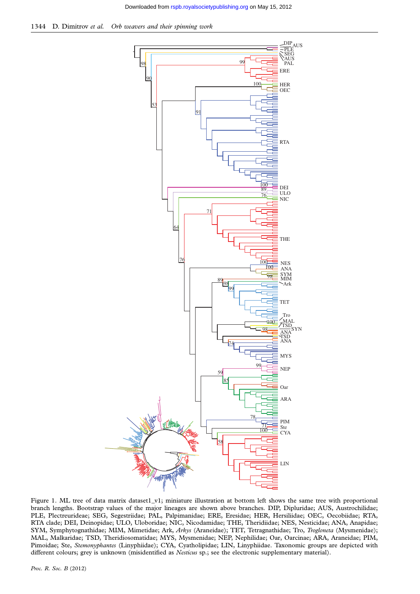<span id="page-4-0"></span>

Figure 1. ML tree of data matrix dataset1\_v1; miniature illustration at bottom left shows the same tree with proportional branch lengths. Bootstrap values of the major lineages are shown above branches. DIP, Dipluridae; AUS, Austrochilidae; PLE, Plectreurideae; SEG, Segestriidae; PAL, Palpimanidae; ERE, Eresidae; HER, Hersiliidae; OEC, Oecobiidae; RTA, RTA clade; DEI, Deinopidae; ULO, Uloboridae; NIC, Nicodamidae; THE, Theridiidae; NES, Nesticidae; ANA, Anapidae; SYM, Symphytognathidae; MIM, Mimetidae; Ark, Arkys (Araneidae); TET, Tetragnathidae; Tro, Trogloneta (Mysmenidae); MAL, Malkaridae; TSD, Theridiosomatidae; MYS, Mysmenidae; NEP, Nephilidae; Oar, Oarcinae; ARA, Araneidae; PIM, Pimoidae; Ste, Stemonyphantes (Linyphiidae); CYA, Cyatholipidae; LIN, Linyphiidae. Taxonomic groups are depicted with different colours; grey is unknown (misidentified as Nesticus sp.; see the electronic supplementary material).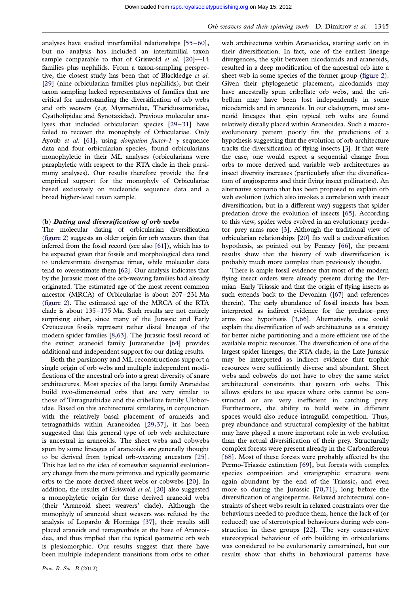analyses have studied interfamilial relationships [\[55](#page-9-0)–[60](#page-9-0)], but no analysis has included an interfamilial taxon sample comparable to that of Griswold et al.  $[20]$  $[20]$  $[20]$ -14 families plus nephilids. From a taxon-sampling perspective, the closest study has been that of Blackledge et al. [\[29](#page-8-0)] (nine orbicularian families plus nephilids), but their taxon sampling lacked representatives of families that are critical for understanding the diversification of orb webs and orb weavers (e.g. Mysmenidae, Theridiosomatidae, Cyatholipidae and Synotaxidae). Previous molecular analyses that included orbicularian species [\[29](#page-8-0)–[31](#page-8-0)] have failed to recover the monophyly of Orbiculariae. Only Ayoub et al. [[61](#page-9-0)], using elongation factor-1  $\gamma$  sequence data and four orbicularian species, found orbicularians monophyletic in their ML analyses (orbicularians were paraphyletic with respect to the RTA clade in their parsimony analyses). Our results therefore provide the first empirical support for the monophyly of Orbiculariae based exclusively on nucleotide sequence data and a broad higher-level taxon sample.

## (b) Dating and diversification of orb webs

The molecular dating of orbicularian diversification [\(figure 2\)](#page-6-0) suggests an older origin for orb weavers than that inferred from the fossil record (see also [[61](#page-9-0)]), which has to be expected given that fossils and morphological data tend to underestimate divergence times, while molecular data tend to overestimate them [\[62](#page-9-0)]. Our analysis indicates that by the Jurassic most of the orb-weaving families had already originated. The estimated age of the most recent common ancestor (MRCA) of Orbiculariae is about 207–231 Ma [\(figure 2](#page-6-0)). The estimated age of the MRCA of the RTA clade is about 135–175 Ma. Such results are not entirely surprising either, since many of the Jurassic and Early Cretaceous fossils represent rather distal lineages of the modern spider families [\[8,](#page-8-0)[63\]](#page-9-0). The Jurassic fossil record of the extinct araneoid family Juraraneidae [\[64](#page-9-0)] provides additional and independent support for our dating results.

Both the parsimony and ML reconstructions support a single origin of orb webs and multiple independent modifications of the ancestral orb into a great diversity of snare architectures. Most species of the large family Araneidae build two-dimensional orbs that are very similar to those of Tetragnathidae and the cribellate family Uloboridae. Based on this architectural similarity, in conjunction with the relatively basal placement of araneids and tetragnathids within Araneoidea [[29](#page-8-0),[37](#page-9-0)], it has been suggested that this general type of orb web architecture is ancestral in araneoids. The sheet webs and cobwebs spun by some lineages of araneoids are generally thought to be derived from typical orb-weaving ancestors [[25](#page-8-0)]. This has led to the idea of somewhat sequential evolutionary change from the more primitive and typically geometric orbs to the more derived sheet webs or cobwebs [[20\]](#page-8-0). In addition, the results of Griswold et al. [\[20\]](#page-8-0) also suggested a monophyletic origin for these derived araneoid webs (their 'Araneoid sheet weavers' clade). Although the monophyly of araneoid sheet weavers was refuted by the analysis of Lopardo & Hormiga [[37](#page-9-0)], their results still placed araneids and tetragnathids at the base of Araneoidea, and thus implied that the typical geometric orb web is plesiomorphic. Our results suggest that there have been multiple independent transitions from orbs to other web architectures within Araneoidea, starting early on in their diversification. In fact, one of the earliest lineage divergences, the split between nicodamids and araneoids, resulted in a deep modification of the ancestral orb into a sheet web in some species of the former group [\(figure 2](#page-6-0)). Given their phylogenetic placement, nicodamids may have ancestrally spun cribellate orb webs, and the cribellum may have been lost independently in some nicodamids and in araneoids. In our cladogram, most araneoid lineages that spin typical orb webs are found relatively distally placed within Araneoidea. Such a macroevolutionary pattern poorly fits the predictions of a hypothesis suggesting that the evolution of orb architecture tracks the diversification of flying insects [[3\]](#page-8-0). If that were the case, one would expect a sequential change from orbs to more derived and variable web architectures as insect diversity increases (particularly after the diversification of angiosperms and their flying insect pollinators). An alternative scenario that has been proposed to explain orb web evolution (which also invokes a correlation with insect diversification, but in a different way) suggests that spider predation drove the evolution of insects [\[65](#page-9-0)]. According to this view, spider webs evolved in an evolutionary predator–prey arms race [\[3](#page-8-0)]. Although the traditional view of orbicularian relationships [\[20](#page-8-0)] fits well a codiversification hypothesis, as pointed out by Penney [\[66\]](#page-10-0), the present results show that the history of web diversification is probably much more complex than previously thought.

There is ample fossil evidence that most of the modern flying insect orders were already present during the Permian–Early Triassic and that the origin of flying insects as such extends back to the Devonian ([\[67](#page-10-0)] and references therein). The early abundance of fossil insects has been interpreted as indirect evidence for the predator–prey arms race hypothesis [\[3](#page-8-0),[66\]](#page-10-0). Alternatively, one could explain the diversification of web architectures as a strategy for better niche partitioning and a more efficient use of the available trophic resources. The diversification of one of the largest spider lineages, the RTA clade, in the Late Jurassic may be interpreted as indirect evidence that trophic resources were sufficiently diverse and abundant. Sheet webs and cobwebs do not have to obey the same strict architectural constraints that govern orb webs. This allows spiders to use spaces where orbs cannot be constructed or are very inefficient in catching prey. Furthermore, the ability to build webs in different spaces would also reduce intraguild competition. Thus, prey abundance and structural complexity of the habitat may have played a more important role in web evolution than the actual diversification of their prey. Structurally complex forests were present already in the Carboniferous [\[68\]](#page-10-0). Most of these forests were probably affected by the Permo-Triassic extinction [\[69\]](#page-10-0), but forests with complex species composition and stratigraphic structure were again abundant by the end of the Triassic, and even more so during the Jurassic [[70,71\]](#page-10-0), long before the diversification of angiosperms. Relaxed architectural constraints of sheet webs result in relaxed constraints over the behaviours needed to produce them, hence the lack of (or reduced) use of stereotypical behaviours during web construction in these groups [[22](#page-8-0)]. The very conservative stereotypical behaviour of orb building in orbicularians was considered to be evolutionarily constrained, but our results show that shifts in behavioural patterns have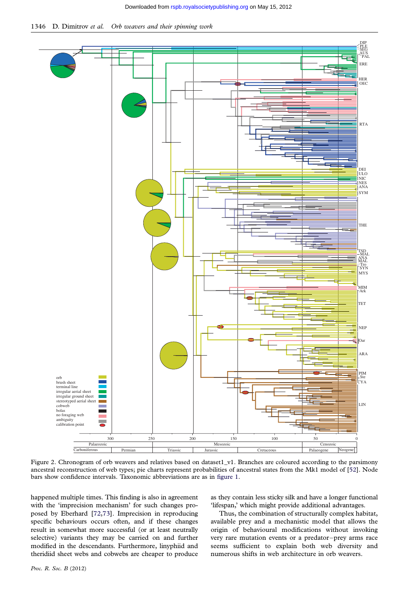<span id="page-6-0"></span>



Figure 2. Chronogram of orb weavers and relatives based on dataset1\_v1. Branches are coloured according to the parsimony ancestral reconstruction of web types; pie charts represent probabilities of ancestral states from the Mk1 model of [\[52](#page-9-0)]. Node bars show confidence intervals. Taxonomic abbreviations are as in [figure 1](#page-4-0).

happened multiple times. This finding is also in agreement with the 'imprecision mechanism' for such changes proposed by Eberhard [\[72,73\]](#page-10-0). Imprecision in reproducing specific behaviours occurs often, and if these changes result in somewhat more successful (or at least neutrally selective) variants they may be carried on and further modified in the descendants. Furthermore, linyphiid and theridiid sheet webs and cobwebs are cheaper to produce as they contain less sticky silk and have a longer functional 'lifespan,' which might provide additional advantages.

Thus, the combination of structurally complex habitat, available prey and a mechanistic model that allows the origin of behavioural modifications without invoking very rare mutation events or a predator –prey arms race seems sufficient to explain both web diversity and numerous shifts in web architecture in orb weavers.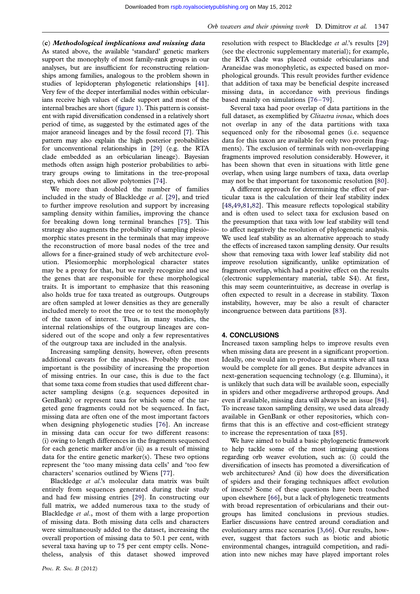(c) Methodological implications and missing data

As stated above, the available 'standard' genetic markers support the monophyly of most family-rank groups in our analyses, but are insufficient for reconstructing relationships among families, analogous to the problem shown in studies of lepidopteran phylogenetic relationships [\[41](#page-9-0)]. Very few of the deeper interfamilial nodes within orbicularians receive high values of clade support and most of the internal braches are short [\(figure 1](#page-4-0)). This pattern is consistent with rapid diversification condensed in a relatively short period of time, as suggested by the estimated ages of the major araneoid lineages and by the fossil record [\[7](#page-8-0)]. This pattern may also explain the high posterior probabilities for unconventional relationships in [\[29\]](#page-8-0) (e.g. the RTA clade embedded as an orbicularian lineage). Bayesian methods often assign high posterior probabilities to arbitrary groups owing to limitations in the tree-proposal step, which does not allow polytomies [[74\]](#page-10-0).

We more than doubled the number of families included in the study of Blackledge et al. [\[29\]](#page-8-0), and tried to further improve resolution and support by increasing sampling density within families, improving the chance for breaking down long terminal branches [\[75\]](#page-10-0). This strategy also augments the probability of sampling plesiomorphic states present in the terminals that may improve the reconstruction of more basal nodes of the tree and allows for a finer-grained study of web architecture evolution. Plesiomorphic morphological character states may be a proxy for that, but we rarely recognize and use the genes that are responsible for these morphological traits. It is important to emphasize that this reasoning also holds true for taxa treated as outgroups. Outgroups are often sampled at lower densities as they are generally included merely to root the tree or to test the monophyly of the taxon of interest. Thus, in many studies, the internal relationships of the outgroup lineages are considered out of the scope and only a few representatives of the outgroup taxa are included in the analysis.

Increasing sampling density, however, often presents additional caveats for the analyses. Probably the most important is the possibility of increasing the proportion of missing entries. In our case, this is due to the fact that some taxa come from studies that used different character sampling designs (e.g. sequences deposited in GenBank) or represent taxa for which some of the targeted gene fragments could not be sequenced. In fact, missing data are often one of the most important factors when designing phylogenetic studies [[76](#page-10-0)]. An increase in missing data can occur for two different reasons: (i) owing to length differences in the fragments sequenced for each genetic marker and/or (ii) as a result of missing data for the entire genetic marker(s). These two options represent the 'too many missing data cells' and 'too few characters' scenarios outlined by Wiens [[77](#page-10-0)].

Blackledge et al.'s molecular data matrix was built entirely from sequences generated during their study and had few missing entries [[29](#page-8-0)]. In constructing our full matrix, we added numerous taxa to the study of Blackledge et al., most of them with a large proportion of missing data. Both missing data cells and characters were simultaneously added to the dataset, increasing the overall proportion of missing data to 50.1 per cent, with several taxa having up to 75 per cent empty cells. Nonetheless, analysis of this dataset showed improved resolution with respect to Blackledge et al.'s results [\[29\]](#page-8-0) (see the electronic supplementary material); for example, the RTA clade was placed outside orbicularians and Araneidae was monophyletic, as expected based on morphological grounds. This result provides further evidence that addition of taxa may be beneficial despite increased missing data, in accordance with previous findings based mainly on simulations [[76](#page-10-0)–[79\]](#page-10-0).

Several taxa had poor overlap of data partitions in the full dataset, as exemplified by Clitaetra irenae, which does not overlap in any of the data partitions with taxa sequenced only for the ribosomal genes (i.e. sequence data for this taxon are available for only two protein fragments). The exclusion of terminals with non-overlapping fragments improved resolution considerably. However, it has been shown that even in situations with little gene overlap, when using large numbers of taxa, data overlap may not be that important for taxonomic resolution [[80](#page-10-0)].

A different approach for determining the effect of particular taxa is the calculation of their leaf stability index [\[48,49](#page-9-0)[,81,82](#page-10-0)]. This measure reflects topological stability and is often used to select taxa for exclusion based on the presumption that taxa with low leaf stability will tend to affect negatively the resolution of phylogenetic analysis. We used leaf stability as an alternative approach to study the effects of increased taxon sampling density. Our results show that removing taxa with lower leaf stability did not improve resolution significantly, unlike optimization of fragment overlap, which had a positive effect on the results (electronic supplementary material, table S4). At first, this may seem counterintuitive, as decrease in overlap is often expected to result in a decrease in stability. Taxon instability, however, may be also a result of character incongruence between data partitions [\[83](#page-10-0)].

## 4. CONCLUSIONS

Increased taxon sampling helps to improve results even when missing data are present in a significant proportion. Ideally, one would aim to produce a matrix where all taxa would be complete for all genes. But despite advances in next-generation sequencing technology (e.g. Illumina), it is unlikely that such data will be available soon, especially in spiders and other megadiverse arthropod groups. And even if available, missing data will always be an issue [[84](#page-10-0)]. To increase taxon sampling density, we used data already available in GenBank or other repositories, which confirms that this is an effective and cost-efficient strategy to increase the representation of taxa [[85](#page-10-0)].

We have aimed to build a basic phylogenetic framework to help tackle some of the most intriguing questions regarding orb weaver evolution, such as: (i) could the diversification of insects has promoted a diversification of web architectures? And (ii) how does the diversification of spiders and their foraging techniques affect evolution of insects? Some of these questions have been touched upon elsewhere [\[66\]](#page-10-0), but a lack of phylogenetic treatments with broad representation of orbicularians and their outgroups has limited conclusions in previous studies. Earlier discussions have centred around coradiation and evolutionary arms race scenarios [\[3](#page-8-0),[66](#page-10-0)]. Our results, however, suggest that factors such as biotic and abiotic environmental changes, intraguild competition, and radiation into new niches may have played important roles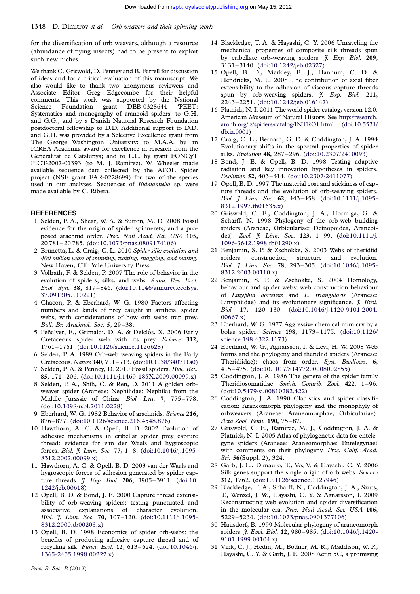<span id="page-8-0"></span>for the diversification of orb weavers, although a resource (abundance of flying insects) had to be present to exploit such new niches.

We thank C. Griswold, D. Penney and B. Farrell for discussion of ideas and for a critical evaluation of this manuscript. We also would like to thank two anonymous reviewers and Associate Editor Greg Edgecombe for their helpful comments. This work was supported by the National Science Foundation grant DEB-0328644 'PEET: Systematics and monography of araneoid spiders' to G.H. and G.G., and by a Danish National Research Foundation postdoctoral fellowship to D.D. Additional support to D.D. and G.H. was provided by a Selective Excellence grant from The George Washington University; to M.A.A. by an ICREA Academia award for excellence in research from the Generalitat de Catalunya; and to L.L. by grant FONCyT PICT-2007-01393 (to M. J. Ramírez). W. Wheeler made available sequence data collected by the ATOL Spider project (NSF grant EAR-0228699) for two of the species used in our analyses. Sequences of Eidmannella sp. were made available by C. Ribera.

### **REFERENCES**

- 1 Selden, P. A., Shear, W. A. & Sutton, M. D. 2008 Fossil evidence for the origin of spider spinnerets, and a proposed arachnid order. Proc. Natl Acad. Sci. USA 105, 20 781–20 785. [\(doi:10.1073/pnas.0809174106\)](http://dx.doi.org/10.1073/pnas.0809174106)
- 2 Brunetta, L. & Craig, C. L. 2010 Spider silk: evolution and 400 million years of spinning, waiting, snagging, and mating. New Haven, CT: Yale University Press.
- 3 Vollrath, F. & Selden, P. 2007 The role of behavior in the evolution of spiders, silks, and webs. Annu. Rev. Ecol. Evol. Syst. 38, 819–846. ([doi:10.1146/annurev.ecolsys.](http://dx.doi.org/10.1146/annurev.ecolsys.37.091305.110221) [37.091305.110221](http://dx.doi.org/10.1146/annurev.ecolsys.37.091305.110221))
- 4 Chacon, P. & Eberhard, W. G. 1980 Factors affecting numbers and kinds of prey caught in artificial spider webs, with considerations of how orb webs trap prey. Bull. Br. Arachnol. Soc. 5, 29–38.
- 5 Peñalver, E., Grimaldi, D. A. & Delclòs, X. 2006 Early Cretaceous spider web with its prey. Science 312, 1761–1761. ([doi:10.1126/science.1126628](http://dx.doi.org/10.1126/science.1126628))
- 6 Selden, P. A. 1989 Orb-web weaving spiders in the Early Cretaceous. Nature 340, 711–713. ([doi:10.1038/340711a0](http://dx.doi.org/10.1038/340711a0))
- 7 Selden, P. A. & Penney, D. 2010 Fossil spiders. Biol. Rev. 85, 171 –206. ([doi:10.1111/j.1469-185X.2009.00099.x\)](http://dx.doi.org/10.1111/j.1469-185X.2009.00099.x)
- 8 Selden, P. A., Shih, C. & Ren, D. 2011 A golden orbweaver spider (Araneae: Nephilidae: Nephila) from the Middle Jurassic of China. Biol. Lett. 7, 775-778. [\(doi:10.1098/rsbl.2011.0228\)](http://dx.doi.org/10.1098/rsbl.2011.0228)
- 9 Eberhard, W. G. 1982 Behavior of arachnids. Science 216, 876–877. ([doi:10.1126/science.216.4548.876](http://dx.doi.org/10.1126/science.216.4548.876))
- 10 Hawthorn, A. C. & Opell, B. D. 2002 Evolution of adhesive mechanisms in cribellar spider prey capture thread: evidence for van der Waals and hygroscopic forces. Biol. J. Linn. Soc. 77, 1 –8. ([doi:10.1046/j.1095-](http://dx.doi.org/10.1046/j.1095-8312.2002.00099.x) [8312.2002.00099.x](http://dx.doi.org/10.1046/j.1095-8312.2002.00099.x))
- 11 Hawthorn, A. C. & Opell, B. D. 2003 van der Waals and hygroscopic forces of adhesion generated by spider capture threads. *J. Exp. Biol.* 206, 3905-3911. [\(doi:10.](http://dx.doi.org/10.1242/jeb.00618) [1242/jeb.00618](http://dx.doi.org/10.1242/jeb.00618))
- 12 Opell, B. D. & Bond, J. E. 2000 Capture thread extensibility of orb-weaving spiders: testing punctuated and associative explanations of character evolution. Biol. J. Linn. Soc. 70, 107-120. ([doi:10.1111/j.1095-](http://dx.doi.org/10.1111/j.1095-8312.2000.tb00203.x) [8312.2000.tb00203.x](http://dx.doi.org/10.1111/j.1095-8312.2000.tb00203.x))
- 13 Opell, B. D. 1998 Economics of spider orb-webs: the benefits of producing adhesive capture thread and of recycling silk. Funct. Ecol. 12, 613 –624. ([doi:10.1046/j.](http://dx.doi.org/10.1046/j.1365-2435.1998.00222.x) [1365-2435.1998.00222.x](http://dx.doi.org/10.1046/j.1365-2435.1998.00222.x))
- 14 Blackledge, T. A. & Hayashi, C. Y. 2006 Unraveling the mechanical properties of composite silk threads spun by cribellate orb-weaving spiders.  $\hat{f}$ . Exp. Biol. 209, 3131–3140. [\(doi:10.1242/jeb.02327](http://dx.doi.org/10.1242/jeb.02327))
- 15 Opell, B. D., Markley, B. J., Hannum, C. D. & Hendricks, M. L. 2008 The contribution of axial fiber extensibility to the adhesion of viscous capture threads spun by orb-weaving spiders.  $\tilde{f}$ . Exp. Biol. 211, 2243–2251. [\(doi:10.1242/jeb.016147](http://dx.doi.org/10.1242/jeb.016147))
- 16 Platnick, N. I. 2011 The world spider catalog, version 12.0. American Museum of Natural History. See [http://research.](http://research.amnh.org/iz/spiders/catalog/INTRO1.html) [amnh.org/iz/spiders/catalog/INTRO1.html.](http://research.amnh.org/iz/spiders/catalog/INTRO1.html) ([doi:10.5531/](http://dx.doi.org/10.5531/db.iz.0001) [db.iz.0001\)](http://dx.doi.org/10.5531/db.iz.0001)
- 17 Craig, C. L., Bernard, G. D. & Coddington, J. A. 1994 Evolutionary shifts in the spectral properties of spider silks. Evolution 48, 287 –296. ([doi:10.2307/2410093](http://dx.doi.org/10.2307/2410093))
- 18 Bond, J. E. & Opell, B. D. 1998 Testing adaptive radiation and key innovation hypotheses in spiders. Evolution 52, 403–414. ([doi:10.2307/2411077](http://dx.doi.org/10.2307/2411077))
- 19 Opell, B. D. 1997 The material cost and stickiness of capture threads and the evolution of orb-weaving spiders. Biol. J. Linn. Soc. 62, 443-458. ([doi:10.1111/j.1095-](http://dx.doi.org/10.1111/j.1095-8312.1997.tb01635.x) [8312.1997.tb01635.x](http://dx.doi.org/10.1111/j.1095-8312.1997.tb01635.x))
- 20 Griswold, C. E., Coddington, J. A., Hormiga, G. & Scharff, N. 1998 Phylogeny of the orb-web building spiders (Araneae, Orbiculariae: Deinopoidea, Araneoidea). Zool. J. Linn. Soc. 123, 1-99. ([doi:10.1111/j.](http://dx.doi.org/10.1111/j.1096-3642.1998.tb01290.x) [1096-3642.1998.tb01290.x](http://dx.doi.org/10.1111/j.1096-3642.1998.tb01290.x))
- 21 Benjamin, S. P. & Zschokke, S. 2003 Webs of theridiid spiders: construction, structure and evolution. Biol. J. Linn. Soc. 78, 293-305. ([doi:10.1046/j.1095-](http://dx.doi.org/10.1046/j.1095-8312.2003.00110.x) [8312.2003.00110.x](http://dx.doi.org/10.1046/j.1095-8312.2003.00110.x))
- 22 Benjamin, S. P. & Zschokke, S. 2004 Homology, behaviour and spider webs: web construction behaviour of Linyphia hortensis and L. triangularis (Araneae: Linyphiidae) and its evolutionary significance. *J. Evol.* Biol. 17, 120–130. ([doi:10.1046/j.1420-9101.2004.](http://dx.doi.org/10.1046/j.1420-9101.2004.00667.x) [00667.x](http://dx.doi.org/10.1046/j.1420-9101.2004.00667.x))
- 23 Eberhard, W. G. 1977 Aggressive chemical mimicry by a bolas spider. Science 198, 1173–1175. ([doi:10.1126/](http://dx.doi.org/10.1126/science.198.4322.1173) [science.198.4322.1173\)](http://dx.doi.org/10.1126/science.198.4322.1173)
- 24 Eberhard, W. G., Agnarsson, I. & Levi, H. W. 2008 Web forms and the phylogeny and theridiid spiders (Araneae: Theridiidae): chaos from order. Syst. Biodivers. 6, 415 –475. [\(doi:10.1017/S1477200008002855](http://dx.doi.org/10.1017/S1477200008002855))
- 25 Coddington, J. A. 1986 The genera of the spider family Theridiosomatidae. Smith. Contrib. Zool. 422, 1–96. ([doi:10.5479/si.00810282.422\)](http://dx.doi.org/10.5479/si.00810282.422)
- 26 Coddington, J. A. 1990 Cladistics and spider classification: Araneomorph phylogeny and the monophyly of orbweavers (Araneae: Araneomorphae, Orbiculariae). Acta Zool. Fenn. 190, 75–87.
- 27 Griswold, C. E., Ramírez, M. J., Coddington, J. A. & Platnick, N. I. 2005 Atlas of phylogenetic data for entelegyne spiders (Araneae: Araneomorphae: Entelegynae) with comments on their phylogeny. Proc. Calif. Acad. Sci. 56(Suppl. 2), 324.
- 28 Garb, J. E., Dimauro, T., Vo, V. & Hayashi, C. Y. 2006 Silk genes support the single origin of orb webs. Science 312, 1762. ([doi:10.1126/science.1127946](http://dx.doi.org/10.1126/science.1127946))
- 29 Blackledge, T. A., Scharff, N., Coddington, J. A., Szuts, T., Wenzel, J. W., Hayashi, C. Y. & Agnarsson, I. 2009 Reconstructing web evolution and spider diversification in the molecular era. Proc. Natl Acad. Sci. USA 106, 5229–5234. [\(doi:10.1073/pnas.0901377106\)](http://dx.doi.org/10.1073/pnas.0901377106)
- 30 Hausdorf, B. 1999 Molecular phylogeny of araneomorph spiders. *J. Evol. Biol.* 12, 980-985. ([doi:10.1046/j.1420-](http://dx.doi.org/10.1046/j.1420-9101.1999.00104.x) [9101.1999.00104.x](http://dx.doi.org/10.1046/j.1420-9101.1999.00104.x))
- 31 Vink, C. J., Hedin, M., Bodner, M. R., Maddison, W. P., Hayashi, C. Y. & Garb, J. E. 2008 Actin 5C, a promising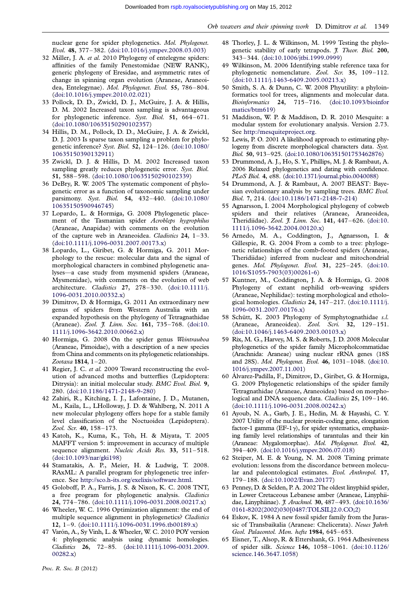<span id="page-9-0"></span>nuclear gene for spider phylogenetics. Mol. Phylogenet. Evol. 48, 377–382. [\(doi:10.1016/j.ympev.2008.03.003](http://dx.doi.org/10.1016/j.ympev.2008.03.003))

- 32 Miller, J. A. et al. 2010 Phylogeny of entelegyne spiders: affinities of the family Penestomidae (NEW RANK), generic phylogeny of Eresidae, and asymmetric rates of change in spinning organ evolution (Araneae, Araneoidea, Entelegynae). Mol. Phylogenet. Evol. 55, 786–804. [\(doi:10.1016/j.ympev.2010.02.021\)](http://dx.doi.org/10.1016/j.ympev.2010.02.021)
- 33 Pollock, D. D., Zwickl, D. J., McGuire, J. A. & Hillis, D. M. 2002 Increased taxon sampling is advantageous for phylogenetic inference. Syst. Biol. 51, 664–671. [\(doi:10.1080/10635150290102357\)](http://dx.doi.org/10.1080/10635150290102357)
- 34 Hillis, D. M., Pollock, D. D., McGuire, J. A. & Zwickl, D. J. 2003 Is sparse taxon sampling a problem for phylogenetic inference? Syst. Biol. 52, 124–126. ([doi:10.1080/](http://dx.doi.org/10.1080/10635150390132911) [10635150390132911](http://dx.doi.org/10.1080/10635150390132911))
- 35 Zwickl, D. J. & Hillis, D. M. 2002 Increased taxon sampling greatly reduces phylogenetic error. Syst. Biol. 51, 588–598. [\(doi:10.1080/10635150290102339](http://dx.doi.org/10.1080/10635150290102339))
- 36 DeBry, R. W. 2005 The systematic component of phylogenetic error as a function of taxonomic sampling under parsimony. Syst. Biol. 54, 432-440. ([doi:10.1080/](http://dx.doi.org/10.1080/10635150590946745) [10635150590946745](http://dx.doi.org/10.1080/10635150590946745))
- 37 Lopardo, L. & Hormiga, G. 2008 Phylogenetic placement of the Tasmanian spider Acrobleps hygrophilus (Araneae, Anapidae) with comments on the evolution of the capture web in Araneoidea. Cladistics 24, 1 –33. [\(doi:10.1111/j.1096-0031.2007.00173.x](http://dx.doi.org/10.1111/j.1096-0031.2007.00173.x))
- 38 Lopardo, L., Giribet, G. & Hormiga, G. 2011 Morphology to the rescue: molecular data and the signal of morphological characters in combined phylogenetic analyses—a case study from mysmenid spiders (Araneae, Mysmenidae), with comments on the evolution of web architecture. Cladistics 27, 278 –330. ([doi:10.1111/j.](http://dx.doi.org/10.1111/j.1096-0031.2010.00332.x) [1096-0031.2010.00332.x\)](http://dx.doi.org/10.1111/j.1096-0031.2010.00332.x)
- 39 Dimitrov, D. & Hormiga, G. 2011 An extraordinary new genus of spiders from Western Australia with an expanded hypothesis on the phylogeny of Tetragnathidae (Araneae). Zool. J. Linn. Soc. 161, 735-768. ([doi:10.](http://dx.doi.org/10.1111/j.1096-3642.2010.00662.x) [1111/j.1096-3642.2010.00662.x](http://dx.doi.org/10.1111/j.1096-3642.2010.00662.x))
- 40 Hormiga, G. 2008 On the spider genus Weintrauboa (Araneae, Pimoidae), with a description of a new species from China and comments on its phylogenetic relationships. Zootaxa 1814, 1–20.
- 41 Regier, J. C. et al. 2009 Toward reconstructing the evolution of advanced moths and butterflies (Lepidoptera: Ditrysia): an initial molecular study. BMC Evol. Biol. 9, 280. ([doi:10.1186/1471-2148-9-280](http://dx.doi.org/10.1186/1471-2148-9-280))
- 42 Zahiri, R., Kitching, I. J., Lafontaine, J. D., Mutanen, M., Kaila, L., LHolloway, J. D. & Wahlberg, N. 2011 A new molecular phylogeny offers hope for a stable family level classification of the Noctuoidea (Lepidoptera). Zool. Scr. 40, 158-173.
- 43 Katoh, K., Kuma, K., Toh, H. & Miyata, T. 2005 MAFFT version 5: improvement in accuracy of multiple sequence alignment. Nucleic Acids Res. 33, 511-518. [\(doi:10.1093/nar/gki198](http://dx.doi.org/10.1093/nar/gki198))
- 44 Stamatakis, A. P., Meier, H. & Ludwig, T. 2008. RAxML: A parallel program for phylogenetic tree inference. See <http://sco.h-its.org/exelixis/software.html>.
- 45 Goloboff, P. A., Farris, J. S. & Nixon, K. C. 2008 TNT, a free program for phylogenetic analysis. Cladistics 24, 774–786. [\(doi:10.1111/j.1096-0031.2008.00217.x](http://dx.doi.org/10.1111/j.1096-0031.2008.00217.x))
- 46 Wheeler, W. C. 1996 Optimization alignment: the end of multiple sequence alignment in phylogenetics? Cladistics 12, 1–9. [\(doi:10.1111/j.1096-0031.1996.tb00189.x](http://dx.doi.org/10.1111/j.1096-0031.1996.tb00189.x))
- 47 Varón, A., Sy Vinh, L. & Wheeler, W. C. 2010 POY version 4: phylogenetic analysis using dynamic homologies. Cladistics 26, 72–85. [\(doi:10.1111/j.1096-0031.2009.](http://dx.doi.org/10.1111/j.1096-0031.2009.00282.x) [00282.x\)](http://dx.doi.org/10.1111/j.1096-0031.2009.00282.x)

48 Thorley, J. L. & Wilkinson, M. 1999 Testing the phylogenetic stability of early tetrapods. *J. Theor. Biol.* 200, 343 –344. [\(doi:10.1006/jtbi.1999.0999\)](http://dx.doi.org/10.1006/jtbi.1999.0999)

Orb weavers and their spinning work D. Dimitrov et al. 1349

- 49 Wilkinson, M. 2006 Identifying stable reference taxa for phylogenetic nomenclature. Zool. Scr. 35, 109–112. [\(doi:10.1111/j.1463-6409.2005.00213.x](http://dx.doi.org/10.1111/j.1463-6409.2005.00213.x))
- 50 Smith, S. A. & Dunn, C. W. 2008 Phyutility: a phyloinformatics tool for trees, alignments and molecular data. Bioinformatics 24, 715–716. [\(doi:10.1093/bioinfor](http://dx.doi.org/10.1093/bioinformatics/btm619) [matics/btm619](http://dx.doi.org/10.1093/bioinformatics/btm619))
- 51 Maddison, W. P. & Maddison, D. R. 2010 Mesquite: a modular system for evolutionary analysis. Version 2.73. See <http://mesquiteproject.org>.
- 52 Lewis, P. O. 2001 A likelihood approach to estimating phylogeny from discrete morphological characters data. Syst. Biol. 50, 913–925. [\(doi:10.1080/106351501753462876](http://dx.doi.org/10.1080/106351501753462876))
- 53 Drummond, A. J., Ho, S. Y., Phillips, M. J. & Rambaut, A. 2006 Relaxed phylogenetics and dating with confidence. PLoS Biol. 4, e88. [\(doi:10.1371/journal.pbio.0040088\)](http://dx.doi.org/10.1371/journal.pbio.0040088)
- 54 Drummond, A. J. & Rambaut, A. 2007 BEAST: Bayesian evolutionary analysis by sampling trees. BMC Evol. Biol. 7, 214. ([doi:10.1186/1471-2148-7-214](http://dx.doi.org/10.1186/1471-2148-7-214))
- 55 Agnarsson, I. 2004 Morphological phylogeny of cobweb spiders and their relatives (Araneae, Araneoidea, Theridiidae). Zool. J. Linn. Soc. 141, 447-626. ([doi:10.](http://dx.doi.org/10.1111/j.1096-3642.2004.00120.x) [1111/j.1096-3642.2004.00120.x](http://dx.doi.org/10.1111/j.1096-3642.2004.00120.x))
- 56 Arnedo, M. A., Coddington, J., Agnarsson, I. & Gillespie, R. G. 2004 From a comb to a tree: phylogenetic relationships of the comb-footed spiders (Araneae, Theridiidae) inferred from nuclear and mitochondrial genes. Mol. Phylogenet. Evol. 31, 225-245. ([doi:10.](http://dx.doi.org/10.1016/S1055-7903(03)00261-6) [1016/S1055-7903\(03\)00261-6\)](http://dx.doi.org/10.1016/S1055-7903(03)00261-6)
- 57 Kuntner, M., Coddington, J. A. & Hormiga, G. 2008 Phylogeny of extant nephilid orb-weaving spiders (Araneae, Nephilidae): testing morphological and ethological homologies. Cladistics 24, 147 –217. ([doi:10.1111/j.](http://dx.doi.org/10.1111/j.1096-0031.2007.00176.x) [1096-0031.2007.00176.x\)](http://dx.doi.org/10.1111/j.1096-0031.2007.00176.x)
- 58 Schütt, K. 2003 Phylogeny of Symphytognathidae s.l. (Araneae, Araneoidea). Zool. Scri. 32, 129–151. [\(doi:10.1046/j.1463-6409.2003.00103.x](http://dx.doi.org/10.1046/j.1463-6409.2003.00103.x))
- 59 Rix, M. G., Harvey, M. S. & Roberts, J. D. 2008 Molecular phylogenetics of the spider family Micropholcommatidae (Arachnida: Araneae) using nuclear rRNA genes (18S and 28S). Mol. Phylogenet. Evol. 46, 1031–1048. [\(doi:10.](http://dx.doi.org/10.1016/j.ympev.2007.11.001) [1016/j.ympev.2007.11.001\)](http://dx.doi.org/10.1016/j.ympev.2007.11.001)
- 60 Alvarez-Padilla, F., Dimitrov, D., Giribet, G. & Hormiga, G. 2009 Phylogenetic relationships of the spider family Tetragnathidae (Araneae, Araneoidea) based on morphological and DNA sequence data. Cladistics 25, 109-146. [\(doi:10.1111/j.1096-0031.2008.00242.x](http://dx.doi.org/10.1111/j.1096-0031.2008.00242.x))
- 61 Ayoub, N. A., Garb, J. E., Hedin, M. & Hayashi, C. Y. 2007 Utility of the nuclear protein-coding gene, elongation factor-1 gamma (EF-1 $\gamma$ ), for spider systematics, emphasizing family level relationships of tarantulas and their kin (Araneae: Mygalomorphae). Mol. Phylogenet. Evol. 42, 394–409. ([doi:10.1016/j.ympev.2006.07.018\)](http://dx.doi.org/10.1016/j.ympev.2006.07.018)
- 62 Steiper, M. E. & Young, N. M. 2008 Timing primate evolution: lessons from the discordance between molecular and paleontological estimates. Evol. Anthropol. 17, 179 –188. [\(doi:10.1002/Evan.20177](http://dx.doi.org/10.1002/Evan.20177))
- 63 Penney, D. & Selden, P. A. 2002 The oldest linyphiid spider, in Lower Cretaceous Lebanese amber (Araneae, Linyphiidae, Linyphiinae). *J. Arachnol.* 30, 487-493. [\(doi:10.1636/](http://dx.doi.org/10.1636/0161-8202(2002)030[0487:TOLSIL]2.0.CO;2) [0161-8202\(2002\)030\[0487:TOLSIL\]2.0.CO;2](http://dx.doi.org/10.1636/0161-8202(2002)030[0487:TOLSIL]2.0.CO;2))
- 64 Eskov, K. 1984 A new fossil spider family from the Jurassic of Transbaikalia (Araneae: Chelicerata). Neues Jahrb. Geol. Palaeontol. Mon. hefte 1984, 645–653.
- 65 Eisner, T., Alsop, R. & Ettershank, G. 1964 Adhesiveness of spider silk. Science 146, 1058–1061. ([doi:10.1126/](http://dx.doi.org/10.1126/science.146.3647.1058) [science.146.3647.1058](http://dx.doi.org/10.1126/science.146.3647.1058))